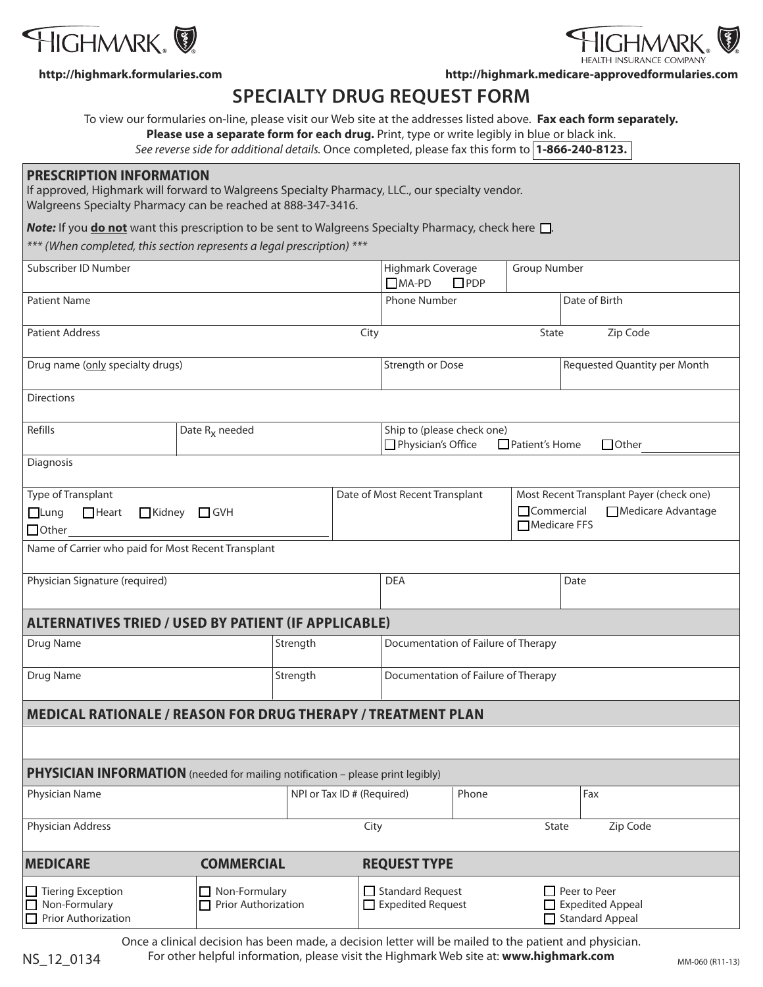



**http://highmark.formularies.com http://highmark.medicare-approvedformularies.com**

# **SPECIALTY DRUG REQUEST FORM**

To view our formularies on-line, please visit our Web site at the addresses listed above. **Fax each form separately.** 

**Please use a separate form for each drug.** Print, type or write legibly in blue or black ink.

*See reverse side for additional details.* Once completed, please fax this form to **1-866-240-8123.** 

#### **PRESCRIPTION INFORMATION**

If approved, Highmark will forward to Walgreens Specialty Pharmacy, LLC., our specialty vendor. Walgreens Specialty Pharmacy can be reached at 888-347-3416.

**Note:** If you **do not** want this prescription to be sent to Walgreens Specialty Pharmacy, check here  $\Box$ .

*\*\*\* (When completed, this section represents a legal prescription) \*\*\**

| (Writen Completed, this section represents a legal prescription)                      |                                      |                            |                                     |                                                  |                                                                                                     |               |                                                            |  |  |
|---------------------------------------------------------------------------------------|--------------------------------------|----------------------------|-------------------------------------|--------------------------------------------------|-----------------------------------------------------------------------------------------------------|---------------|------------------------------------------------------------|--|--|
| Subscriber ID Number                                                                  |                                      |                            |                                     | $\Box$ MA-PD                                     | Highmark Coverage<br>Group Number<br>$\square$ PDP                                                  |               |                                                            |  |  |
| <b>Patient Name</b>                                                                   |                                      |                            |                                     | <b>Phone Number</b>                              |                                                                                                     | Date of Birth |                                                            |  |  |
| <b>Patient Address</b><br>City                                                        |                                      |                            |                                     | Zip Code<br><b>State</b>                         |                                                                                                     |               |                                                            |  |  |
| Drug name (only specialty drugs)                                                      |                                      |                            |                                     | Strength or Dose                                 |                                                                                                     |               | Requested Quantity per Month                               |  |  |
| <b>Directions</b>                                                                     |                                      |                            |                                     |                                                  |                                                                                                     |               |                                                            |  |  |
| Refills                                                                               | Date R <sub>x</sub> needed           |                            |                                     | Ship to (please check one)<br>Physician's Office |                                                                                                     |               | □ Patient's Home<br>$\Box$ Other                           |  |  |
| Diagnosis                                                                             |                                      |                            |                                     |                                                  |                                                                                                     |               |                                                            |  |  |
| Type of Transplant<br>$\Box$ Heart<br>Kidney GVH<br>Lung<br>$\Box$ Other              |                                      |                            | Date of Most Recent Transplant      |                                                  | Most Recent Transplant Payer (check one)<br>$\Box$ Commercial<br>Medicare Advantage<br>Medicare FFS |               |                                                            |  |  |
| Name of Carrier who paid for Most Recent Transplant                                   |                                      |                            |                                     |                                                  |                                                                                                     |               |                                                            |  |  |
| Physician Signature (required)                                                        |                                      |                            |                                     | <b>DEA</b>                                       |                                                                                                     | Date          |                                                            |  |  |
| <b>ALTERNATIVES TRIED / USED BY PATIENT (IF APPLICABLE)</b>                           |                                      |                            |                                     |                                                  |                                                                                                     |               |                                                            |  |  |
| Drug Name                                                                             |                                      | Strength                   |                                     | Documentation of Failure of Therapy              |                                                                                                     |               |                                                            |  |  |
| Drug Name                                                                             | Strength                             |                            | Documentation of Failure of Therapy |                                                  |                                                                                                     |               |                                                            |  |  |
| <b>MEDICAL RATIONALE / REASON FOR DRUG THERAPY / TREATMENT PLAN</b>                   |                                      |                            |                                     |                                                  |                                                                                                     |               |                                                            |  |  |
|                                                                                       |                                      |                            |                                     |                                                  |                                                                                                     |               |                                                            |  |  |
| <b>PHYSICIAN INFORMATION</b> (needed for mailing notification - please print legibly) |                                      |                            |                                     |                                                  |                                                                                                     |               |                                                            |  |  |
| Physician Name                                                                        |                                      | NPI or Tax ID # (Required) |                                     |                                                  | Phone                                                                                               |               | Fax                                                        |  |  |
| Physician Address                                                                     | Zip Code<br>City<br>State            |                            |                                     |                                                  |                                                                                                     |               |                                                            |  |  |
| <b>MEDICARE</b>                                                                       | <b>COMMERCIAL</b>                    |                            |                                     | <b>REQUEST TYPE</b>                              |                                                                                                     |               |                                                            |  |  |
| Tiering Exception<br>Non-Formulary<br>$\Box$ Prior Authorization                      | Non-Formulary<br>Prior Authorization |                            |                                     | Standard Request<br>$\Box$ Expedited Request     |                                                                                                     |               | Peer to Peer<br><b>Expedited Appeal</b><br>Standard Appeal |  |  |

Once a clinical decision has been made, a decision letter will be mailed to the patient and physician.

NS\_12\_0134 For other helpful information, please visit the Highmark Web site at: www.highmark.com MM-060 (R11-13)